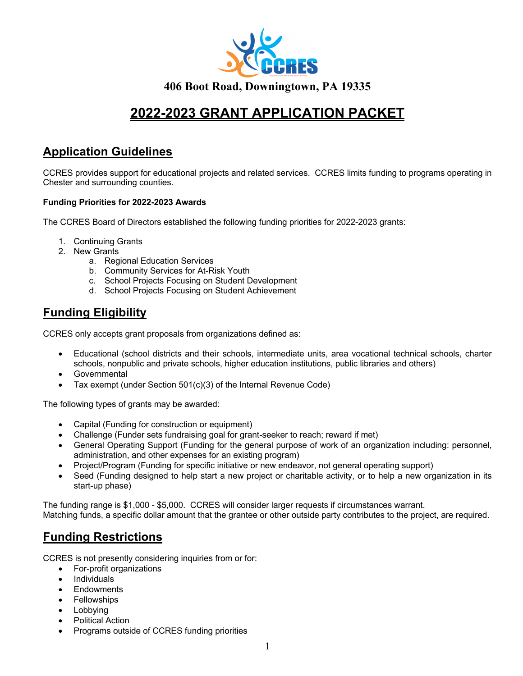

# **2022-2023 GRANT APPLICATION PACKET**

## **Application Guidelines**

CCRES provides support for educational projects and related services. CCRES limits funding to programs operating in Chester and surrounding counties.

#### **Funding Priorities for 2022-2023 Awards**

The CCRES Board of Directors established the following funding priorities for 2022-2023 grants:

- 1. Continuing Grants
- 2. New Grants
	- a. Regional Education Services
	- b. Community Services for At-Risk Youth
	- c. School Projects Focusing on Student Development
	- d. School Projects Focusing on Student Achievement

## **Funding Eligibility**

CCRES only accepts grant proposals from organizations defined as:

- Educational (school districts and their schools, intermediate units, area vocational technical schools, charter schools, nonpublic and private schools, higher education institutions, public libraries and others)
- **Governmental**
- Tax exempt (under Section 501(c)(3) of the Internal Revenue Code)

The following types of grants may be awarded:

- Capital (Funding for construction or equipment)
- Challenge (Funder sets fundraising goal for grant-seeker to reach; reward if met)
- General Operating Support (Funding for the general purpose of work of an organization including: personnel, administration, and other expenses for an existing program)
- Project/Program (Funding for specific initiative or new endeavor, not general operating support)
- Seed (Funding designed to help start a new project or charitable activity, or to help a new organization in its start-up phase)

The funding range is \$1,000 - \$5,000. CCRES will consider larger requests if circumstances warrant. Matching funds, a specific dollar amount that the grantee or other outside party contributes to the project, are required.

## **Funding Restrictions**

CCRES is not presently considering inquiries from or for:

- For-profit organizations
- **Individuals**
- Endowments
- **Fellowships**
- **Lobbying**
- Political Action
- Programs outside of CCRES funding priorities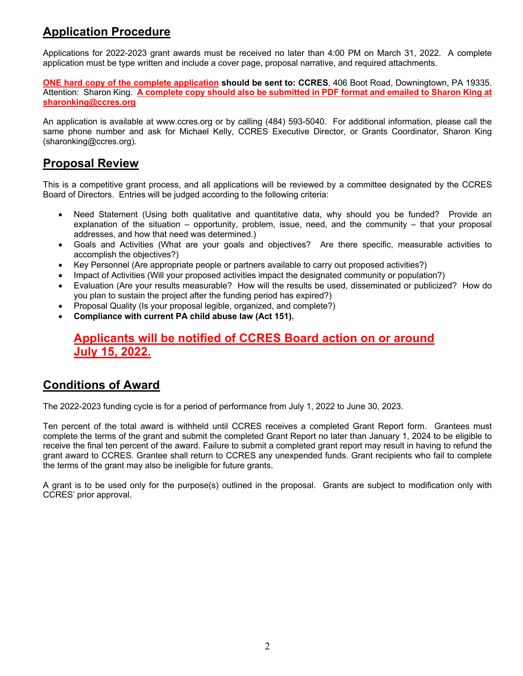# **Application Procedure**

Applications for 2022-2023 grant awards must be received no later than 4:00 PM on March 31, 2022. A complete application must be type written and include a cover page, proposal narrative, and required attachments.

**ONE hard copy of the complete application should be sent to: CCRES**, 406 Boot Road, Downingtown, PA 19335. Attention: Sharon King. **A complete copy should also be submitted in PDF format and emailed to Sharon King at sharonking@ccres.org**

An application is available at www.ccres.org or by calling (484) 593-5040. For additional information, please call the same phone number and ask for Michael Kelly, CCRES Executive Director, or Grants Coordinator, Sharon King (sharonking@ccres.org).

## **Proposal Review**

This is a competitive grant process, and all applications will be reviewed by a committee designated by the CCRES Board of Directors. Entries will be judged according to the following criteria:

- Need Statement (Using both qualitative and quantitative data, why should you be funded? Provide an explanation of the situation – opportunity, problem, issue, need, and the community – that your proposal addresses, and how that need was determined.)
- Goals and Activities (What are your goals and objectives? Are there specific, measurable activities to accomplish the objectives?)
- Key Personnel (Are appropriate people or partners available to carry out proposed activities?)
- Impact of Activities (Will your proposed activities impact the designated community or population?)
- Evaluation (Are your results measurable? How will the results be used, disseminated or publicized? How do you plan to sustain the project after the funding period has expired?)
- Proposal Quality (Is your proposal legible, organized, and complete?)
- **Compliance with current PA child abuse law (Act 151).**

### **Applicants will be notified of CCRES Board action on or around July 15, 2022.**

### **Conditions of Award**

The 2022-2023 funding cycle is for a period of performance from July 1, 2022 to June 30, 2023.

Ten percent of the total award is withheld until CCRES receives a completed Grant Report form. Grantees must complete the terms of the grant and submit the completed Grant Report no later than January 1, 2024 to be eligible to receive the final ten percent of the award. Failure to submit a completed grant report may result in having to refund the grant award to CCRES. Grantee shall return to CCRES any unexpended funds. Grant recipients who fail to complete the terms of the grant may also be ineligible for future grants.

A grant is to be used only for the purpose(s) outlined in the proposal. Grants are subject to modification only with CCRES' prior approval.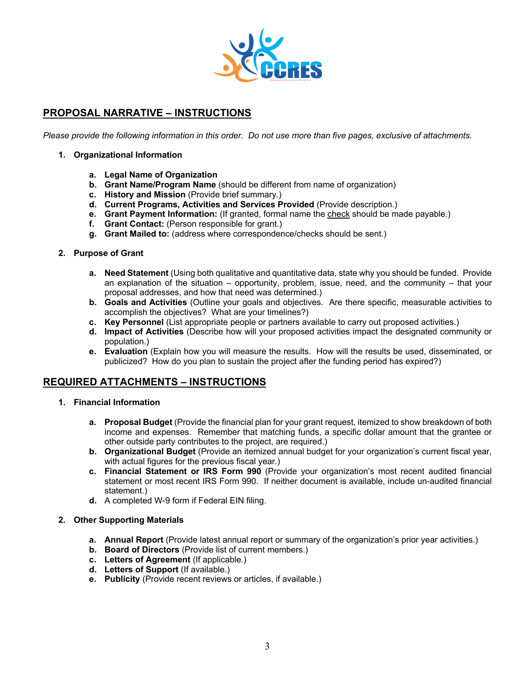

#### **PROPOSAL NARRATIVE – INSTRUCTIONS**

*Please provide the following information in this order. Do not use more than five pages, exclusive of attachments.*

- **1. Organizational Information**
	- **a. Legal Name of Organization**
	- **b. Grant Name/Program Name** (should be different from name of organization)
	- **c. History and Mission** (Provide brief summary.)
	- **d. Current Programs, Activities and Services Provided** (Provide description.)
	- **e. Grant Payment Information:** (If granted, formal name the check should be made payable.)
	- **f. Grant Contact:** (Person responsible for grant.)
	- **g. Grant Mailed to:** (address where correspondence/checks should be sent.)
- **2. Purpose of Grant**
	- **a. Need Statement** (Using both qualitative and quantitative data, state why you should be funded. Provide an explanation of the situation – opportunity, problem, issue, need, and the community – that your proposal addresses, and how that need was determined.)
	- **b. Goals and Activities** (Outline your goals and objectives. Are there specific, measurable activities to accomplish the objectives? What are your timelines?)
	- **c. Key Personnel** (List appropriate people or partners available to carry out proposed activities.)
	- **d. Impact of Activities** (Describe how will your proposed activities impact the designated community or population.)
	- **e. Evaluation** (Explain how you will measure the results. How will the results be used, disseminated, or publicized? How do you plan to sustain the project after the funding period has expired?)

#### **REQUIRED ATTACHMENTS – INSTRUCTIONS**

- **1. Financial Information**
	- **a. Proposal Budget** (Provide the financial plan for your grant request, itemized to show breakdown of both income and expenses. Remember that matching funds, a specific dollar amount that the grantee or other outside party contributes to the project, are required.)
	- **b. Organizational Budget** (Provide an itemized annual budget for your organization's current fiscal year, with actual figures for the previous fiscal year.)
	- **c. Financial Statement or IRS Form 990** (Provide your organization's most recent audited financial statement or most recent IRS Form 990. If neither document is available, include un-audited financial statement.)
	- **d.** A completed W-9 form if Federal EIN filing.

#### **2. Other Supporting Materials**

- **a. Annual Report** (Provide latest annual report or summary of the organization's prior year activities.)
- **b. Board of Directors** (Provide list of current members.)
- **c. Letters of Agreement** (If applicable.)
- **d. Letters of Support** (If available.)
- **e. Publicity** (Provide recent reviews or articles, if available.)